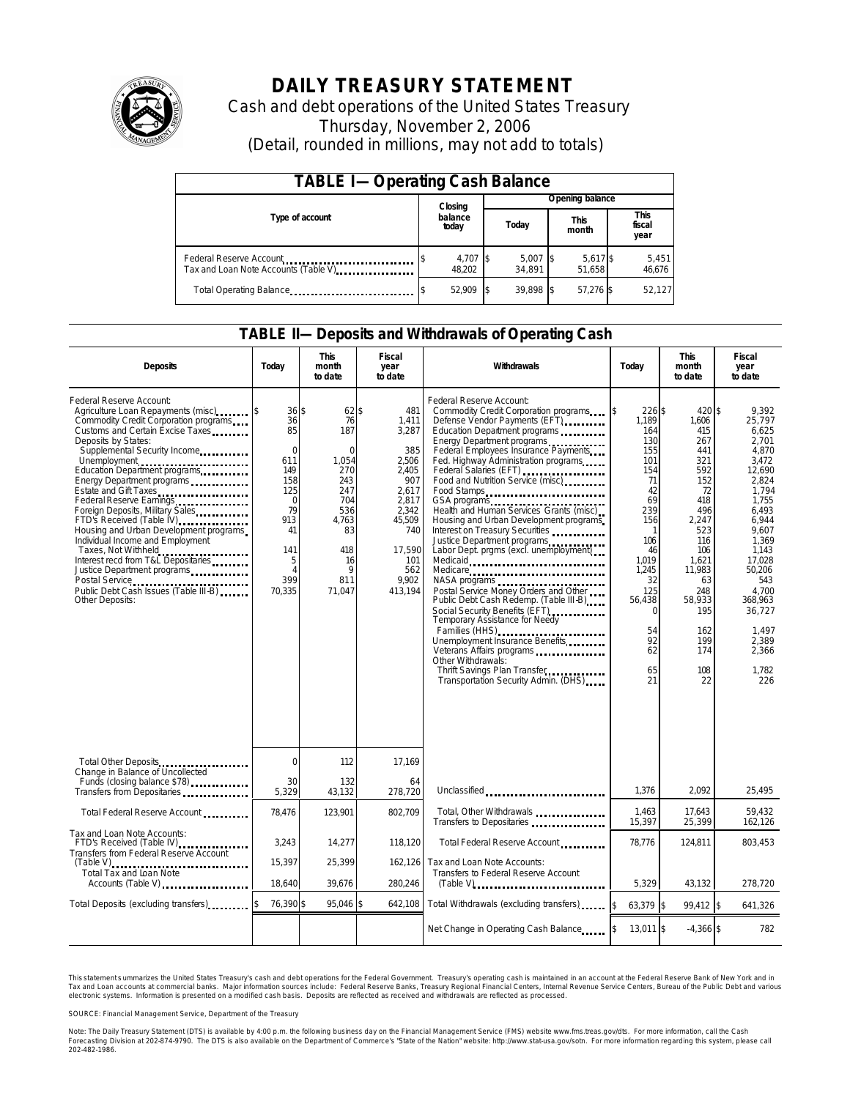

# **DAILY TREASURY STATEMENT**

Cash and debt operations of the United States Treasury Thursday, November 2, 2006 (Detail, rounded in millions, may not add to totals)

| <b>TABLE I-Operating Cash Balance</b>                           |                    |                      |                      |                        |  |  |  |
|-----------------------------------------------------------------|--------------------|----------------------|----------------------|------------------------|--|--|--|
|                                                                 | Closing            | Opening balance      |                      |                        |  |  |  |
| Type of account                                                 | balance<br>today   | Today                | <b>This</b><br>month | This<br>fiscal<br>year |  |  |  |
| Federal Reserve Account<br>Tax and Loan Note Accounts (Table V) | 4,707 \$<br>48.202 | $5,007$ \$<br>34.891 | 5,617 \$<br>51.658   | 5,451<br>46,676        |  |  |  |
| Total Operating Balance                                         | 52,909             | 39.898 \$            | 57,276 \$            | 52,127                 |  |  |  |

#### **TABLE II—Deposits and Withdrawals of Operating Cash**

| <b>Deposits</b>                                                                                                                                                                                                                                                                                                                                                                                                                                                                                                                                                                                    | Today                                                                                                                              | <b>This</b><br>month<br>to date                                                                                                         | <b>Fiscal</b><br>year<br>to date                                                                                                              | Withdrawals                                                                                                                                                                                                                                                                                                                                                                                                                                                                                                                                                                                                                                                                                                                                                                                                                                                                            | Today                                                                                                                                                                                  | <b>This</b><br>month<br>to date                                                                                                                                                              | <b>Fiscal</b><br>year<br>to date                                                                                                                                                                                                          |
|----------------------------------------------------------------------------------------------------------------------------------------------------------------------------------------------------------------------------------------------------------------------------------------------------------------------------------------------------------------------------------------------------------------------------------------------------------------------------------------------------------------------------------------------------------------------------------------------------|------------------------------------------------------------------------------------------------------------------------------------|-----------------------------------------------------------------------------------------------------------------------------------------|-----------------------------------------------------------------------------------------------------------------------------------------------|----------------------------------------------------------------------------------------------------------------------------------------------------------------------------------------------------------------------------------------------------------------------------------------------------------------------------------------------------------------------------------------------------------------------------------------------------------------------------------------------------------------------------------------------------------------------------------------------------------------------------------------------------------------------------------------------------------------------------------------------------------------------------------------------------------------------------------------------------------------------------------------|----------------------------------------------------------------------------------------------------------------------------------------------------------------------------------------|----------------------------------------------------------------------------------------------------------------------------------------------------------------------------------------------|-------------------------------------------------------------------------------------------------------------------------------------------------------------------------------------------------------------------------------------------|
| Federal Reserve Account:<br>Agriculture Loan Repayments (misc)<br>Commodity Credit Corporation programs<br>Customs and Certain Excise Taxes<br>Deposits by States:<br>Supplemental Security Income<br>Education Department programs<br>Energy Department programs<br>Estate and Gift Taxes<br>Foreign Deposits, Military Sales<br>FTD's Received (Table IV)<br>Housing and Urban Development programs<br>Individual Income and Employment<br>Taxes, Not Withheld<br>Interest recd from T&L Depositaries<br>Justice Department programs<br>Public Debt Cash Issues (Table III-B)<br>Other Deposits: | 36S<br>36<br>85<br>$\mathbf 0$<br>611<br>149<br>158<br>125<br>$\Omega$<br>79<br>913<br>41<br>141<br>5<br>$\Delta$<br>399<br>70,335 | 62 \$<br>76<br>187<br>$\Omega$<br>1,054<br>270<br>243<br>247<br>704<br>536<br>4,763<br>83<br>418<br>16<br>$\mathsf{Q}$<br>811<br>71,047 | 481<br>1,411<br>3,287<br>385<br>2,506<br>2.405<br>907<br>2,617<br>2.817<br>2.342<br>45,509<br>740<br>17,590<br>101<br>562<br>9.902<br>413,194 | Federal Reserve Account:<br>Commodity Credit Corporation programs<br>Defense Vendor Payments (EFT)<br>Education Department programs<br>Energy Department programs<br>Federal Employees Insurance Payments<br>Fed. Highway Administration programs<br>Federal Salaries (EFT)<br>Food and Nutrition Service (misc)<br>Food Stamps<br>GSA programs<br>Health and Human Services Grants (misc)<br>Housing and Urban Development programs<br>Interest on Treasury Securities<br>Justice Department programs<br>Labor Dept. prgms (excl. unemployment)<br>Medicaid<br>Medicare<br>Postal Service Money Orders and Other<br>Public Debt Cash Redemp. (Table III-B)<br>Social Security Benefits (EFT)<br><br>Temporary Assistance for Needy<br>Families (HHS)<br>Unemployment Insurance Benefits<br>Other Withdrawals:<br>Thrift Savings Plan Transfer<br>Transportation Security Admin. (DHS) | 226S<br>ß.<br>1,189<br>164<br>130<br>155<br>101<br>154<br>71<br>42<br>69<br>239<br>156<br>106<br>46<br>1.019<br>1.245<br>32<br>125<br>56,438<br>$\Omega$<br>54<br>92<br>62<br>65<br>21 | 420S<br>1,606<br>415<br>267<br>441<br>321<br>592<br>152<br>72<br>418<br>496<br>2,247<br>523<br>116<br>106<br>1,621<br>11,983<br>63<br>248<br>58,933<br>195<br>162<br>199<br>174<br>108<br>22 | 9.392<br>25,797<br>6.625<br>2.701<br>4.870<br>3.472<br>12.690<br>2.824<br>1.794<br>1.755<br>6.493<br>6,944<br>9.607<br>1,369<br>1,143<br>17,028<br>50.206<br>543<br>4.700<br>368,963<br>36,727<br>1,497<br>2,389<br>2,366<br>1.782<br>226 |
| Total Other Deposits<br>Change in Balance of Uncollected                                                                                                                                                                                                                                                                                                                                                                                                                                                                                                                                           | $\Omega$                                                                                                                           | 112                                                                                                                                     | 17,169                                                                                                                                        |                                                                                                                                                                                                                                                                                                                                                                                                                                                                                                                                                                                                                                                                                                                                                                                                                                                                                        |                                                                                                                                                                                        |                                                                                                                                                                                              |                                                                                                                                                                                                                                           |
| Funds (closing balance \$78)<br>Transfers from Depositaries                                                                                                                                                                                                                                                                                                                                                                                                                                                                                                                                        | 30<br>5,329                                                                                                                        | 132<br>43,132                                                                                                                           | 64<br>278,720                                                                                                                                 | Unclassified                                                                                                                                                                                                                                                                                                                                                                                                                                                                                                                                                                                                                                                                                                                                                                                                                                                                           | 1,376                                                                                                                                                                                  | 2,092                                                                                                                                                                                        | 25,495                                                                                                                                                                                                                                    |
| Total Federal Reserve Account                                                                                                                                                                                                                                                                                                                                                                                                                                                                                                                                                                      | 78,476                                                                                                                             | 123,901                                                                                                                                 | 802.709                                                                                                                                       | Total, Other Withdrawals<br>Transfers to Depositaries                                                                                                                                                                                                                                                                                                                                                                                                                                                                                                                                                                                                                                                                                                                                                                                                                                  | 1,463<br>15,397                                                                                                                                                                        | 17,643<br>25,399                                                                                                                                                                             | 59,432<br>162,126                                                                                                                                                                                                                         |
| Tax and Loan Note Accounts:<br>FTD's Received (Table IV)<br>Transfers from Federal Reserve Account                                                                                                                                                                                                                                                                                                                                                                                                                                                                                                 | 3,243                                                                                                                              | 14,277                                                                                                                                  | 118.120                                                                                                                                       | Total Federal Reserve Account                                                                                                                                                                                                                                                                                                                                                                                                                                                                                                                                                                                                                                                                                                                                                                                                                                                          | 78,776                                                                                                                                                                                 | 124,811                                                                                                                                                                                      | 803,453                                                                                                                                                                                                                                   |
| $(Table V)$<br>Total Tax and Loan Note<br>Accounts (Table V)                                                                                                                                                                                                                                                                                                                                                                                                                                                                                                                                       | 15,397<br>18,640                                                                                                                   | 25,399<br>39,676                                                                                                                        | 162.126<br>280,246                                                                                                                            | Tax and Loan Note Accounts:<br>Transfers to Federal Reserve Account                                                                                                                                                                                                                                                                                                                                                                                                                                                                                                                                                                                                                                                                                                                                                                                                                    | 5,329                                                                                                                                                                                  | 43,132                                                                                                                                                                                       | 278,720                                                                                                                                                                                                                                   |
| Total Deposits (excluding transfers)                                                                                                                                                                                                                                                                                                                                                                                                                                                                                                                                                               | 76,390 \$                                                                                                                          | 95,046 \$                                                                                                                               | 642,108                                                                                                                                       | Total Withdrawals (excluding transfers)                                                                                                                                                                                                                                                                                                                                                                                                                                                                                                                                                                                                                                                                                                                                                                                                                                                | \$<br>63,379 \$                                                                                                                                                                        | 99,412 \$                                                                                                                                                                                    | 641,326                                                                                                                                                                                                                                   |
|                                                                                                                                                                                                                                                                                                                                                                                                                                                                                                                                                                                                    |                                                                                                                                    |                                                                                                                                         |                                                                                                                                               | Net Change in Operating Cash Balance                                                                                                                                                                                                                                                                                                                                                                                                                                                                                                                                                                                                                                                                                                                                                                                                                                                   | $13,011$ \$                                                                                                                                                                            | $-4,366$ \$                                                                                                                                                                                  | 782                                                                                                                                                                                                                                       |

This statement s ummarizes the United States Treasury's cash and debt operations for the Federal Government. Treasury's operating cash is maintained in an account at the Federal Reserve Bank of New York and in Tax and Loan accounts at commercial banks. Major information sources include: Federal Reserve Banks, Treasury Regional Financial Centers, Internal Revenue Service Centers, Bureau of the Public Debt and various<br>electronic s

SOURCE: Financial Management Service, Department of the Treasury

Note: The Daily Treasury Statement (DTS) is available by 4:00 p.m. the following business day on the Financial Management Service (FMS) website www.fms.treas.gov/dts. For more information, call the Cash<br>Forecasting Divisio 'S) is available by 4:00 p.m. the following business day on the Financial Management Service (FMS) website www.fms.treas.gov/dts. For more information, call the Cash<br>The DTS is also available on the Department of Commerce'